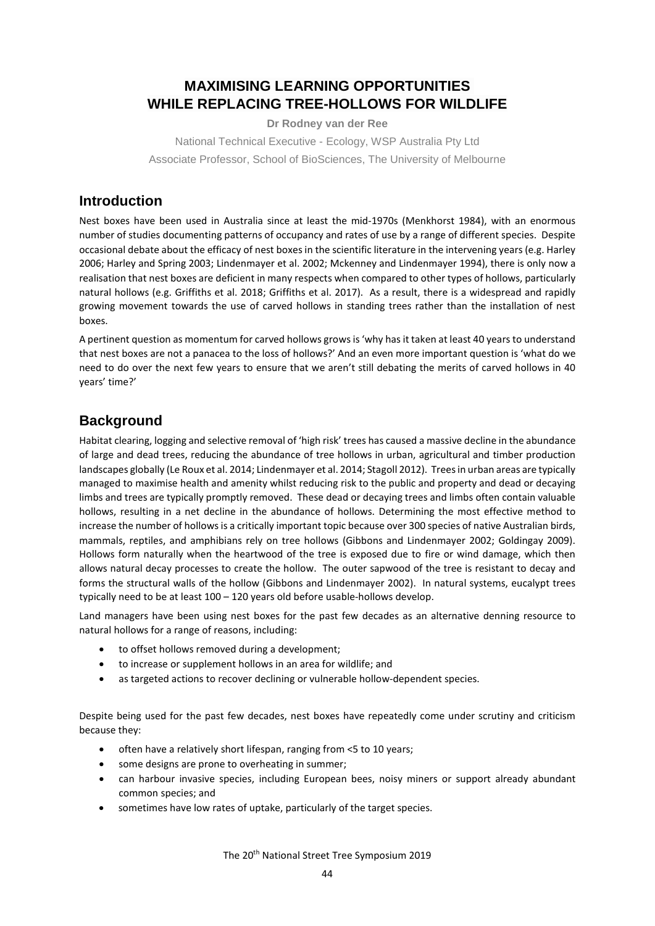# **MAXIMISING LEARNING OPPORTUNITIES WHILE REPLACING TREE-HOLLOWS FOR WILDLIFE**

**Dr Rodney van der Ree**

National Technical Executive - Ecology, WSP Australia Pty Ltd Associate Professor, School of BioSciences, The University of Melbourne

### **Introduction**

Nest boxes have been used in Australia since at least the mid-1970s (Menkhorst 1984), with an enormous number of studies documenting patterns of occupancy and rates of use by a range of different species. Despite occasional debate about the efficacy of nest boxes in the scientific literature in the intervening years (e.g. Harley 2006; Harley and Spring 2003; Lindenmayer et al. 2002; Mckenney and Lindenmayer 1994), there is only now a realisation that nest boxes are deficient in many respects when compared to other types of hollows, particularly natural hollows (e.g. Griffiths et al. 2018; Griffiths et al. 2017). As a result, there is a widespread and rapidly growing movement towards the use of carved hollows in standing trees rather than the installation of nest boxes.

A pertinent question as momentum for carved hollows grows is 'why has it taken at least 40 years to understand that nest boxes are not a panacea to the loss of hollows?' And an even more important question is 'what do we need to do over the next few years to ensure that we aren't still debating the merits of carved hollows in 40 years' time?'

## **Background**

Habitat clearing, logging and selective removal of 'high risk' trees has caused a massive decline in the abundance of large and dead trees, reducing the abundance of tree hollows in urban, agricultural and timber production landscapes globally (Le Roux et al. 2014; Lindenmayer et al. 2014; Stagoll 2012). Trees in urban areas are typically managed to maximise health and amenity whilst reducing risk to the public and property and dead or decaying limbs and trees are typically promptly removed. These dead or decaying trees and limbs often contain valuable hollows, resulting in a net decline in the abundance of hollows. Determining the most effective method to increase the number of hollows is a critically important topic because over 300 species of native Australian birds, mammals, reptiles, and amphibians rely on tree hollows (Gibbons and Lindenmayer 2002; Goldingay 2009). Hollows form naturally when the heartwood of the tree is exposed due to fire or wind damage, which then allows natural decay processes to create the hollow. The outer sapwood of the tree is resistant to decay and forms the structural walls of the hollow (Gibbons and Lindenmayer 2002). In natural systems, eucalypt trees typically need to be at least 100 – 120 years old before usable-hollows develop.

Land managers have been using nest boxes for the past few decades as an alternative denning resource to natural hollows for a range of reasons, including:

- to offset hollows removed during a development;
- to increase or supplement hollows in an area for wildlife; and
- as targeted actions to recover declining or vulnerable hollow-dependent species.

Despite being used for the past few decades, nest boxes have repeatedly come under scrutiny and criticism because they:

- often have a relatively short lifespan, ranging from <5 to 10 years;
- some designs are prone to overheating in summer;
- can harbour invasive species, including European bees, noisy miners or support already abundant common species; and
- sometimes have low rates of uptake, particularly of the target species.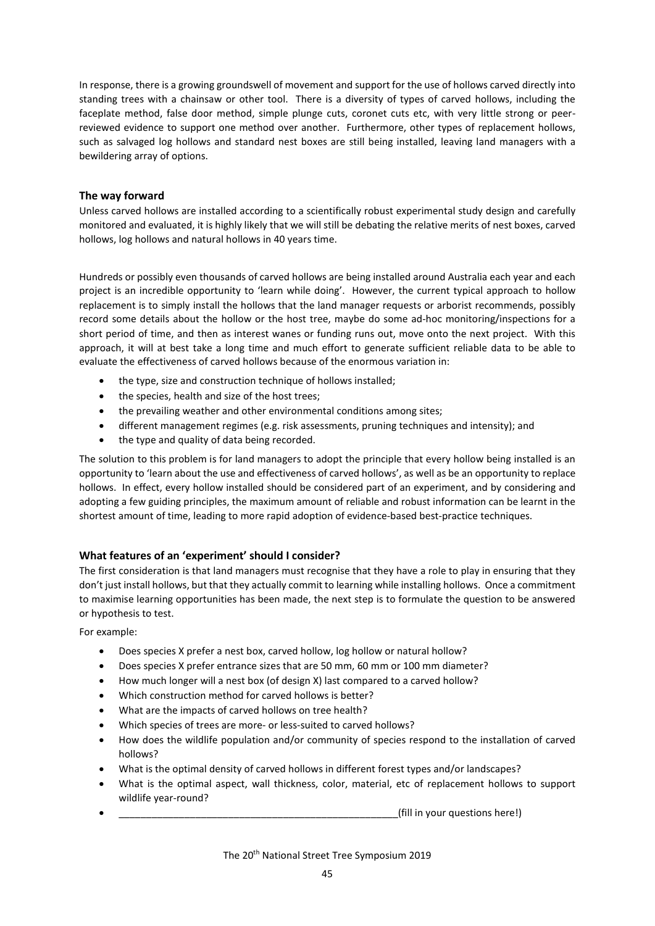In response, there is a growing groundswell of movement and support for the use of hollows carved directly into standing trees with a chainsaw or other tool. There is a diversity of types of carved hollows, including the faceplate method, false door method, simple plunge cuts, coronet cuts etc, with very little strong or peerreviewed evidence to support one method over another. Furthermore, other types of replacement hollows, such as salvaged log hollows and standard nest boxes are still being installed, leaving land managers with a bewildering array of options.

#### **The way forward**

Unless carved hollows are installed according to a scientifically robust experimental study design and carefully monitored and evaluated, it is highly likely that we will still be debating the relative merits of nest boxes, carved hollows, log hollows and natural hollows in 40 years time.

Hundreds or possibly even thousands of carved hollows are being installed around Australia each year and each project is an incredible opportunity to 'learn while doing'. However, the current typical approach to hollow replacement is to simply install the hollows that the land manager requests or arborist recommends, possibly record some details about the hollow or the host tree, maybe do some ad-hoc monitoring/inspections for a short period of time, and then as interest wanes or funding runs out, move onto the next project. With this approach, it will at best take a long time and much effort to generate sufficient reliable data to be able to evaluate the effectiveness of carved hollows because of the enormous variation in:

- the type, size and construction technique of hollows installed:
- the species, health and size of the host trees;
- the prevailing weather and other environmental conditions among sites;
- different management regimes (e.g. risk assessments, pruning techniques and intensity); and
- the type and quality of data being recorded.

The solution to this problem is for land managers to adopt the principle that every hollow being installed is an opportunity to 'learn about the use and effectiveness of carved hollows', as well as be an opportunity to replace hollows. In effect, every hollow installed should be considered part of an experiment, and by considering and adopting a few guiding principles, the maximum amount of reliable and robust information can be learnt in the shortest amount of time, leading to more rapid adoption of evidence-based best-practice techniques.

### **What features of an 'experiment' should I consider?**

The first consideration is that land managers must recognise that they have a role to play in ensuring that they don't just install hollows, but that they actually commit to learning while installing hollows. Once a commitment to maximise learning opportunities has been made, the next step is to formulate the question to be answered or hypothesis to test.

For example:

- Does species X prefer a nest box, carved hollow, log hollow or natural hollow?
- Does species X prefer entrance sizes that are 50 mm, 60 mm or 100 mm diameter?
- How much longer will a nest box (of design X) last compared to a carved hollow?
- Which construction method for carved hollows is better?
- What are the impacts of carved hollows on tree health?
- Which species of trees are more- or less-suited to carved hollows?
- How does the wildlife population and/or community of species respond to the installation of carved hollows?
- What is the optimal density of carved hollows in different forest types and/or landscapes?
- What is the optimal aspect, wall thickness, color, material, etc of replacement hollows to support wildlife year-round?
- (fill in your questions here!)

The 20th National Street Tree Symposium 2019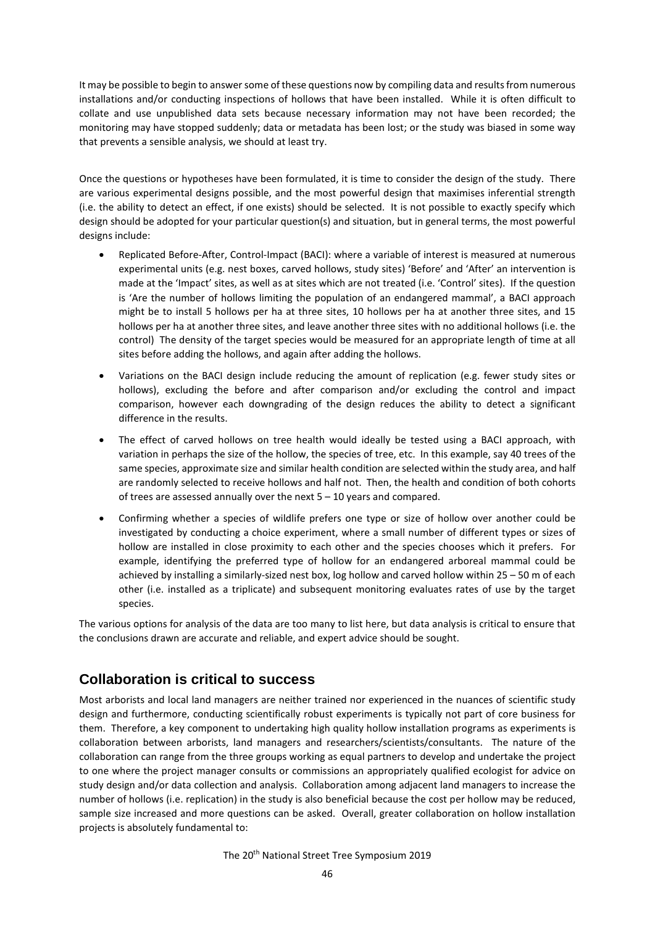It may be possible to begin to answer some of these questions now by compiling data and results from numerous installations and/or conducting inspections of hollows that have been installed. While it is often difficult to collate and use unpublished data sets because necessary information may not have been recorded; the monitoring may have stopped suddenly; data or metadata has been lost; or the study was biased in some way that prevents a sensible analysis, we should at least try.

Once the questions or hypotheses have been formulated, it is time to consider the design of the study. There are various experimental designs possible, and the most powerful design that maximises inferential strength (i.e. the ability to detect an effect, if one exists) should be selected. It is not possible to exactly specify which design should be adopted for your particular question(s) and situation, but in general terms, the most powerful designs include:

- Replicated Before-After, Control-Impact (BACI): where a variable of interest is measured at numerous experimental units (e.g. nest boxes, carved hollows, study sites) 'Before' and 'After' an intervention is made at the 'Impact' sites, as well as at sites which are not treated (i.e. 'Control' sites). If the question is 'Are the number of hollows limiting the population of an endangered mammal', a BACI approach might be to install 5 hollows per ha at three sites, 10 hollows per ha at another three sites, and 15 hollows per ha at another three sites, and leave another three sites with no additional hollows (i.e. the control) The density of the target species would be measured for an appropriate length of time at all sites before adding the hollows, and again after adding the hollows.
- Variations on the BACI design include reducing the amount of replication (e.g. fewer study sites or hollows), excluding the before and after comparison and/or excluding the control and impact comparison, however each downgrading of the design reduces the ability to detect a significant difference in the results.
- The effect of carved hollows on tree health would ideally be tested using a BACI approach, with variation in perhaps the size of the hollow, the species of tree, etc. In this example, say 40 trees of the same species, approximate size and similar health condition are selected within the study area, and half are randomly selected to receive hollows and half not. Then, the health and condition of both cohorts of trees are assessed annually over the next 5 – 10 years and compared.
- Confirming whether a species of wildlife prefers one type or size of hollow over another could be investigated by conducting a choice experiment, where a small number of different types or sizes of hollow are installed in close proximity to each other and the species chooses which it prefers. For example, identifying the preferred type of hollow for an endangered arboreal mammal could be achieved by installing a similarly-sized nest box, log hollow and carved hollow within 25 – 50 m of each other (i.e. installed as a triplicate) and subsequent monitoring evaluates rates of use by the target species.

The various options for analysis of the data are too many to list here, but data analysis is critical to ensure that the conclusions drawn are accurate and reliable, and expert advice should be sought.

## **Collaboration is critical to success**

Most arborists and local land managers are neither trained nor experienced in the nuances of scientific study design and furthermore, conducting scientifically robust experiments is typically not part of core business for them. Therefore, a key component to undertaking high quality hollow installation programs as experiments is collaboration between arborists, land managers and researchers/scientists/consultants. The nature of the collaboration can range from the three groups working as equal partners to develop and undertake the project to one where the project manager consults or commissions an appropriately qualified ecologist for advice on study design and/or data collection and analysis. Collaboration among adjacent land managers to increase the number of hollows (i.e. replication) in the study is also beneficial because the cost per hollow may be reduced, sample size increased and more questions can be asked. Overall, greater collaboration on hollow installation projects is absolutely fundamental to:

The 20th National Street Tree Symposium 2019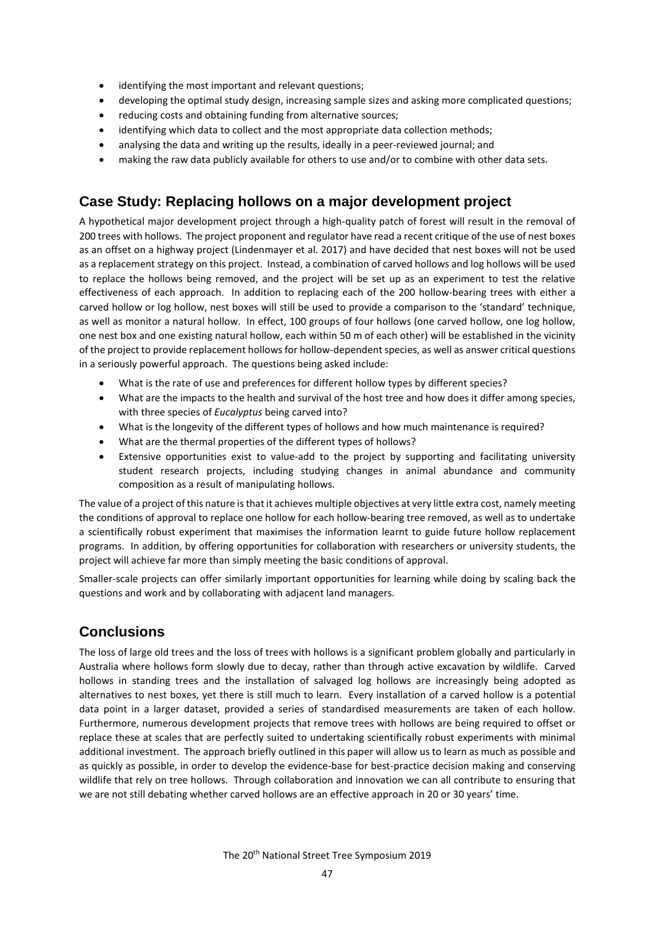- identifying the most important and relevant questions;
- developing the optimal study design, increasing sample sizes and asking more complicated questions;
- reducing costs and obtaining funding from alternative sources;
- identifying which data to collect and the most appropriate data collection methods;
- analysing the data and writing up the results, ideally in a peer-reviewed journal; and
- making the raw data publicly available for others to use and/or to combine with other data sets.

# **Case Study: Replacing hollows on a major development project**

A hypothetical major development project through a high-quality patch of forest will result in the removal of 200 trees with hollows. The project proponent and regulator have read a recent critique of the use of nest boxes as an offset on a highway project (Lindenmayer et al. 2017) and have decided that nest boxes will not be used as a replacement strategy on this project. Instead, a combination of carved hollows and log hollows will be used to replace the hollows being removed, and the project will be set up as an experiment to test the relative effectiveness of each approach. In addition to replacing each of the 200 hollow-bearing trees with either a carved hollow or log hollow, nest boxes will still be used to provide a comparison to the 'standard' technique, as well as monitor a natural hollow. In effect, 100 groups of four hollows (one carved hollow, one log hollow, one nest box and one existing natural hollow, each within 50 m of each other) will be established in the vicinity of the project to provide replacement hollows for hollow-dependent species, as well as answer critical questions in a seriously powerful approach. The questions being asked include:

- What is the rate of use and preferences for different hollow types by different species?
- What are the impacts to the health and survival of the host tree and how does it differ among species, with three species of *Eucalyptus* being carved into?
- What is the longevity of the different types of hollows and how much maintenance is required?
- What are the thermal properties of the different types of hollows?
- Extensive opportunities exist to value-add to the project by supporting and facilitating university student research projects, including studying changes in animal abundance and community composition as a result of manipulating hollows.

The value of a project of this nature is that it achieves multiple objectives at very little extra cost, namely meeting the conditions of approval to replace one hollow for each hollow-bearing tree removed, as well as to undertake a scientifically robust experiment that maximises the information learnt to guide future hollow replacement programs. In addition, by offering opportunities for collaboration with researchers or university students, the project will achieve far more than simply meeting the basic conditions of approval.

Smaller-scale projects can offer similarly important opportunities for learning while doing by scaling back the questions and work and by collaborating with adjacent land managers.

## **Conclusions**

The loss of large old trees and the loss of trees with hollows is a significant problem globally and particularly in Australia where hollows form slowly due to decay, rather than through active excavation by wildlife. Carved hollows in standing trees and the installation of salvaged log hollows are increasingly being adopted as alternatives to nest boxes, yet there is still much to learn. Every installation of a carved hollow is a potential data point in a larger dataset, provided a series of standardised measurements are taken of each hollow. Furthermore, numerous development projects that remove trees with hollows are being required to offset or replace these at scales that are perfectly suited to undertaking scientifically robust experiments with minimal additional investment. The approach briefly outlined in this paper will allow us to learn as much as possible and as quickly as possible, in order to develop the evidence-base for best-practice decision making and conserving wildlife that rely on tree hollows. Through collaboration and innovation we can all contribute to ensuring that we are not still debating whether carved hollows are an effective approach in 20 or 30 years' time.